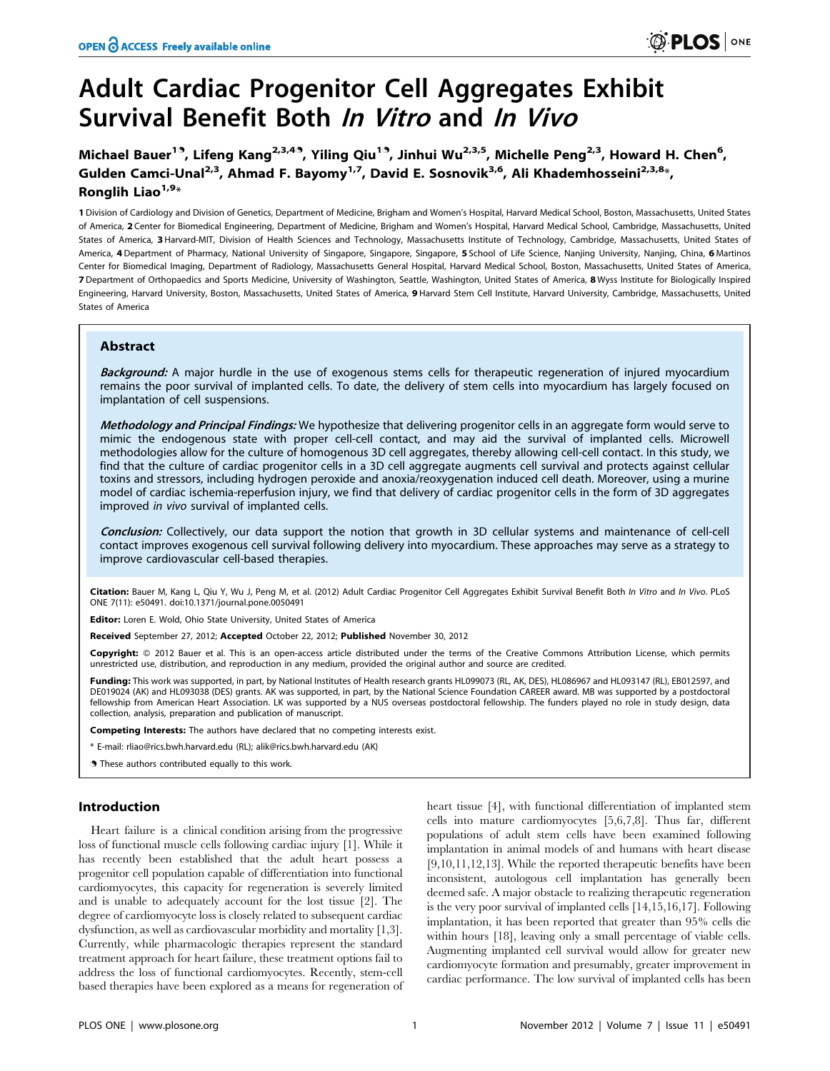Michael Bauer<sup>19</sup>, Lifeng Kang<sup>2,3,49</sup>, Yiling Qiu<sup>19</sup>, Jinhui Wu<sup>2,3,5</sup>, Michelle Peng<sup>2,3</sup>, Howard H. Chen<sup>6</sup>, Gulden Camci-Unal<sup>2,3</sup>, Ahmad F. Bayomy<sup>1,7</sup>, David E. Sosnovik<sup>3,6</sup>, Ali Khademhosseini<sup>2,3,8</sup>\*, Ronglih Liao $1,9*$ 

1 Division of Cardiology and Division of Genetics, Department of Medicine, Brigham and Women's Hospital, Harvard Medical School, Boston, Massachusetts, United States of America, 2 Center for Biomedical Engineering, Department of Medicine, Brigham and Women's Hospital, Harvard Medical School, Cambridge, Massachusetts, United States of America, 3Harvard-MIT, Division of Health Sciences and Technology, Massachusetts Institute of Technology, Cambridge, Massachusetts, United States of America, 4 Department of Pharmacy, National University of Singapore, Singapore, Singapore, 5 School of Life Science, Nanjing University, Nanjing, China, 6 Martinos Center for Biomedical Imaging, Department of Radiology, Massachusetts General Hospital, Harvard Medical School, Boston, Massachusetts, United States of America, 7 Department of Orthopaedics and Sports Medicine, University of Washington, Seattle, Washington, United States of America, 8 Wyss Institute for Biologically Inspired Engineering, Harvard University, Boston, Massachusetts, United States of America, 9 Harvard Stem Cell Institute, Harvard University, Cambridge, Massachusetts, United States of America

# Abstract

Background: A major hurdle in the use of exogenous stems cells for therapeutic regeneration of injured myocardium remains the poor survival of implanted cells. To date, the delivery of stem cells into myocardium has largely focused on implantation of cell suspensions.

Methodology and Principal Findings: We hypothesize that delivering progenitor cells in an aggregate form would serve to mimic the endogenous state with proper cell-cell contact, and may aid the survival of implanted cells. Microwell methodologies allow for the culture of homogenous 3D cell aggregates, thereby allowing cell-cell contact. In this study, we find that the culture of cardiac progenitor cells in a 3D cell aggregate augments cell survival and protects against cellular toxins and stressors, including hydrogen peroxide and anoxia/reoxygenation induced cell death. Moreover, using a murine model of cardiac ischemia-reperfusion injury, we find that delivery of cardiac progenitor cells in the form of 3D aggregates improved in vivo survival of implanted cells.

Conclusion: Collectively, our data support the notion that growth in 3D cellular systems and maintenance of cell-cell contact improves exogenous cell survival following delivery into myocardium. These approaches may serve as a strategy to improve cardiovascular cell-based therapies.

Citation: Bauer M, Kang L, Qiu Y, Wu J, Peng M, et al. (2012) Adult Cardiac Progenitor Cell Aggregates Exhibit Survival Benefit Both In Vitro and In Vivo. PLoS ONE 7(11): e50491. doi:10.1371/journal.pone.0050491

Editor: Loren E. Wold, Ohio State University, United States of America

Received September 27, 2012; Accepted October 22, 2012; Published November 30, 2012

Copyright: © 2012 Bauer et al. This is an open-access article distributed under the terms of the Creative Commons Attribution License, which permits unrestricted use, distribution, and reproduction in any medium, provided the original author and source are credited.

Funding: This work was supported, in part, by National Institutes of Health research grants HL099073 (RL, AK, DES), HL086967 and HL093147 (RL), EB012597, and DE019024 (AK) and HL093038 (DES) grants. AK was supported, in part, by the National Science Foundation CAREER award. MB was supported by a postdoctoral fellowship from American Heart Association. LK was supported by a NUS overseas postdoctoral fellowship. The funders played no role in study design, data collection, analysis, preparation and publication of manuscript.

Competing Interests: The authors have declared that no competing interests exist.

\* E-mail: rliao@rics.bwh.harvard.edu (RL); alik@rics.bwh.harvard.edu (AK)

. These authors contributed equally to this work.

### Introduction

Heart failure is a clinical condition arising from the progressive loss of functional muscle cells following cardiac injury [1]. While it has recently been established that the adult heart possess a progenitor cell population capable of differentiation into functional cardiomyocytes, this capacity for regeneration is severely limited and is unable to adequately account for the lost tissue [2]. The degree of cardiomyocyte loss is closely related to subsequent cardiac dysfunction, as well as cardiovascular morbidity and mortality [1,3]. Currently, while pharmacologic therapies represent the standard treatment approach for heart failure, these treatment options fail to address the loss of functional cardiomyocytes. Recently, stem-cell based therapies have been explored as a means for regeneration of heart tissue [4], with functional differentiation of implanted stem cells into mature cardiomyocytes [5,6,7,8]. Thus far, different populations of adult stem cells have been examined following implantation in animal models of and humans with heart disease [9,10,11,12,13]. While the reported therapeutic benefits have been inconsistent, autologous cell implantation has generally been deemed safe. A major obstacle to realizing therapeutic regeneration is the very poor survival of implanted cells [14,15,16,17]. Following implantation, it has been reported that greater than 95% cells die within hours [18], leaving only a small percentage of viable cells. Augmenting implanted cell survival would allow for greater new cardiomyocyte formation and presumably, greater improvement in cardiac performance. The low survival of implanted cells has been

**DEOS** ONE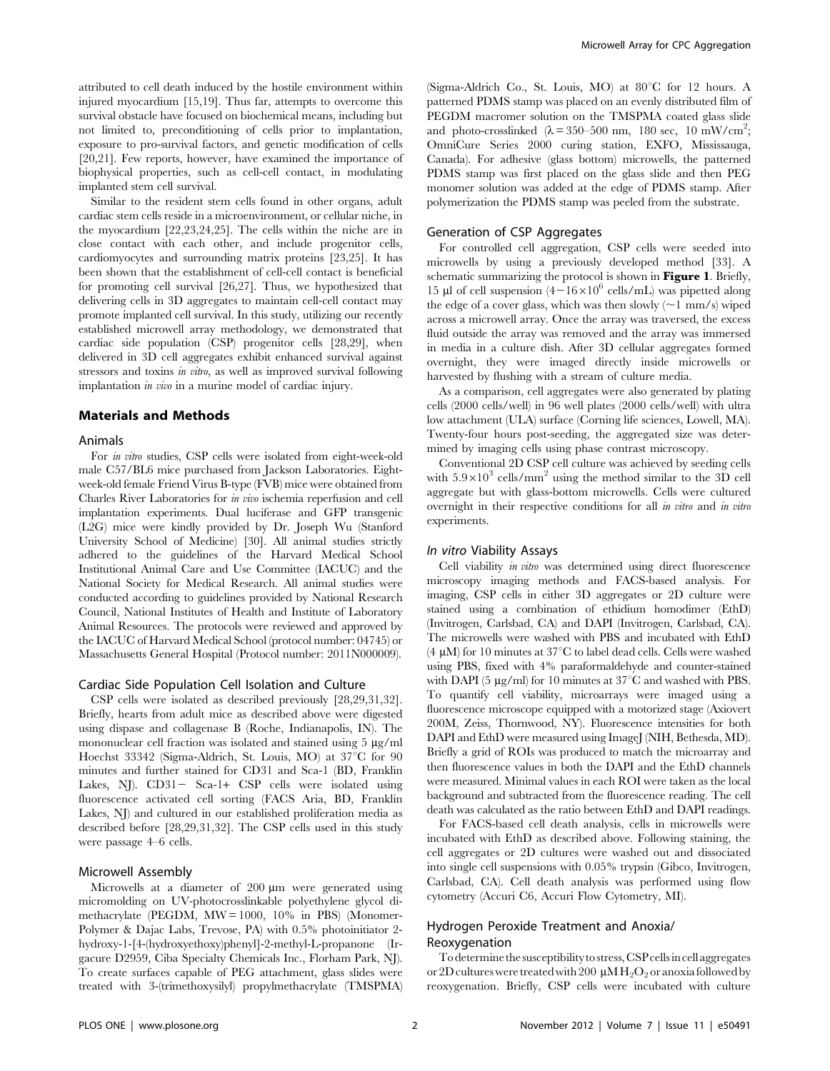attributed to cell death induced by the hostile environment within injured myocardium [15,19]. Thus far, attempts to overcome this survival obstacle have focused on biochemical means, including but not limited to, preconditioning of cells prior to implantation, exposure to pro-survival factors, and genetic modification of cells [20,21]. Few reports, however, have examined the importance of biophysical properties, such as cell-cell contact, in modulating implanted stem cell survival.

Similar to the resident stem cells found in other organs, adult cardiac stem cells reside in a microenvironment, or cellular niche, in the myocardium [22,23,24,25]. The cells within the niche are in close contact with each other, and include progenitor cells, cardiomyocytes and surrounding matrix proteins [23,25]. It has been shown that the establishment of cell-cell contact is beneficial for promoting cell survival [26,27]. Thus, we hypothesized that delivering cells in 3D aggregates to maintain cell-cell contact may promote implanted cell survival. In this study, utilizing our recently established microwell array methodology, we demonstrated that cardiac side population (CSP) progenitor cells [28,29], when delivered in 3D cell aggregates exhibit enhanced survival against stressors and toxins in vitro, as well as improved survival following implantation in vivo in a murine model of cardiac injury.

## Materials and Methods

#### Animals

For in vitro studies, CSP cells were isolated from eight-week-old male C57/BL6 mice purchased from Jackson Laboratories. Eightweek-old female Friend Virus B-type (FVB) mice were obtained from Charles River Laboratories for in vivo ischemia reperfusion and cell implantation experiments. Dual luciferase and GFP transgenic (L2G) mice were kindly provided by Dr. Joseph Wu (Stanford University School of Medicine) [30]. All animal studies strictly adhered to the guidelines of the Harvard Medical School Institutional Animal Care and Use Committee (IACUC) and the National Society for Medical Research. All animal studies were conducted according to guidelines provided by National Research Council, National Institutes of Health and Institute of Laboratory Animal Resources. The protocols were reviewed and approved by the IACUC of Harvard Medical School (protocol number: 04745) or Massachusetts General Hospital (Protocol number: 2011N000009).

#### Cardiac Side Population Cell Isolation and Culture

CSP cells were isolated as described previously [28,29,31,32]. Briefly, hearts from adult mice as described above were digested using dispase and collagenase B (Roche, Indianapolis, IN). The mononuclear cell fraction was isolated and stained using  $5 \mu g/ml$ Hoechst 33342 (Sigma-Aldrich, St. Louis, MO) at 37°C for 90 minutes and further stained for CD31 and Sca-1 (BD, Franklin Lakes, NJ).  $CD31 -$  Sca-1+ CSP cells were isolated using fluorescence activated cell sorting (FACS Aria, BD, Franklin Lakes, NJ) and cultured in our established proliferation media as described before [28,29,31,32]. The CSP cells used in this study were passage 4–6 cells.

### Microwell Assembly

Microwells at a diameter of  $200 \mu m$  were generated using micromolding on UV-photocrosslinkable polyethylene glycol dimethacrylate (PEGDM, MW = 1000, 10% in PBS) (Monomer-Polymer & Dajac Labs, Trevose, PA) with 0.5% photoinitiator 2hydroxy-1-[4-(hydroxyethoxy)phenyl]-2-methyl-L-propanone (Irgacure D2959, Ciba Specialty Chemicals Inc., Florham Park, NJ). To create surfaces capable of PEG attachment, glass slides were treated with 3-(trimethoxysilyl) propylmethacrylate (TMSPMA)

(Sigma-Aldrich Co., St. Louis, MO) at  $80^{\circ}$ C for 12 hours. A patterned PDMS stamp was placed on an evenly distributed film of PEGDM macromer solution on the TMSPMA coated glass slide and photo-crosslinked  $(\lambda = 350 - 500 \text{ nm}, 180 \text{ sec}, 10 \text{ mW/cm}^2;$ OmniCure Series 2000 curing station, EXFO, Mississauga, Canada). For adhesive (glass bottom) microwells, the patterned PDMS stamp was first placed on the glass slide and then PEG monomer solution was added at the edge of PDMS stamp. After polymerization the PDMS stamp was peeled from the substrate.

# Generation of CSP Aggregates

For controlled cell aggregation, CSP cells were seeded into microwells by using a previously developed method [33]. A schematic summarizing the protocol is shown in **Figure 1**. Briefly, 15 µl of cell suspension  $(4-16\times10^6 \text{ cells/mL})$  was pipetted along the edge of a cover glass, which was then slowly  $(\sim1$  mm/s) wiped across a microwell array. Once the array was traversed, the excess fluid outside the array was removed and the array was immersed in media in a culture dish. After 3D cellular aggregates formed overnight, they were imaged directly inside microwells or harvested by flushing with a stream of culture media.

As a comparison, cell aggregates were also generated by plating cells (2000 cells/well) in 96 well plates (2000 cells/well) with ultra low attachment (ULA) surface (Corning life sciences, Lowell, MA). Twenty-four hours post-seeding, the aggregated size was determined by imaging cells using phase contrast microscopy.

Conventional 2D CSP cell culture was achieved by seeding cells with  $5.9\times10^3$  cells/mm<sup>2</sup> using the method similar to the 3D cell aggregate but with glass-bottom microwells. Cells were cultured overnight in their respective conditions for all in vitro and in vitro experiments.

#### In vitro Viability Assays

Cell viability in vitro was determined using direct fluorescence microscopy imaging methods and FACS-based analysis. For imaging, CSP cells in either 3D aggregates or 2D culture were stained using a combination of ethidium homodimer (EthD) (Invitrogen, Carlsbad, CA) and DAPI (Invitrogen, Carlsbad, CA). The microwells were washed with PBS and incubated with EthD (4  $\mu$ M) for 10 minutes at 37 $^{\circ}$ C to label dead cells. Cells were washed using PBS, fixed with 4% paraformaldehyde and counter-stained with DAPI (5  $\mu$ g/ml) for 10 minutes at 37 $\degree$ C and washed with PBS. To quantify cell viability, microarrays were imaged using a fluorescence microscope equipped with a motorized stage (Axiovert 200M, Zeiss, Thornwood, NY). Fluorescence intensities for both DAPI and EthD were measured using ImageJ (NIH, Bethesda, MD). Briefly a grid of ROIs was produced to match the microarray and then fluorescence values in both the DAPI and the EthD channels were measured. Minimal values in each ROI were taken as the local background and subtracted from the fluorescence reading. The cell death was calculated as the ratio between EthD and DAPI readings.

For FACS-based cell death analysis, cells in microwells were incubated with EthD as described above. Following staining, the cell aggregates or 2D cultures were washed out and dissociated into single cell suspensions with 0.05% trypsin (Gibco, Invitrogen, Carlsbad, CA). Cell death analysis was performed using flow cytometry (Accuri C6, Accuri Flow Cytometry, MI).

# Hydrogen Peroxide Treatment and Anoxia/ Reoxygenation

To determine the susceptibility to stress, CSP cells in cell aggregates or 2D cultures were treated with 200  $\mu$ M H<sub>2</sub>O<sub>2</sub> or anoxia followed by reoxygenation. Briefly, CSP cells were incubated with culture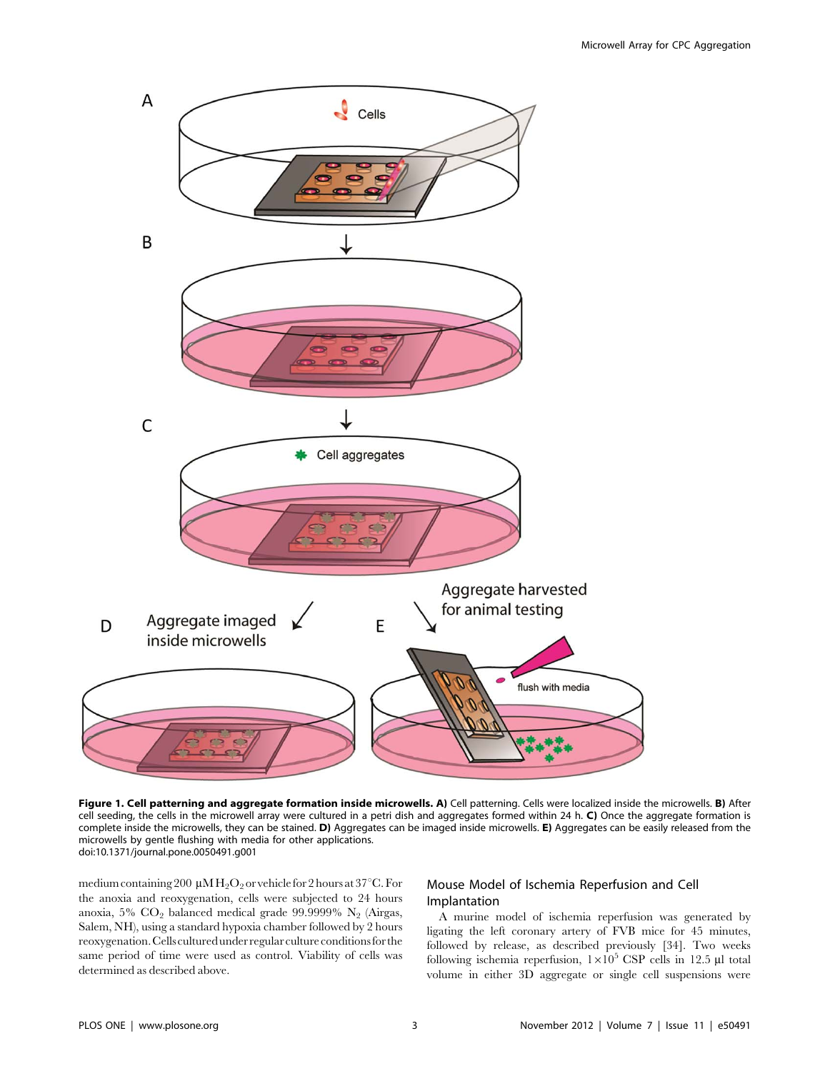

Figure 1. Cell patterning and aggregate formation inside microwells. A) Cell patterning. Cells were localized inside the microwells. B) After cell seeding, the cells in the microwell array were cultured in a petri dish and aggregates formed within 24 h. C) Once the aggregate formation is complete inside the microwells, they can be stained. D) Aggregates can be imaged inside microwells. E) Aggregates can be easily released from the microwells by gentle flushing with media for other applications. doi:10.1371/journal.pone.0050491.g001

medium containing 200  $\mu$ MH<sub>2</sub>O<sub>2</sub> or vehicle for 2 hours at 37°C. For the anoxia and reoxygenation, cells were subjected to 24 hours anoxia, 5%  $CO<sub>2</sub>$  balanced medical grade 99.9999% N<sub>2</sub> (Airgas, Salem, NH), using a standard hypoxia chamber followed by 2 hours reoxygenation.Cells cultured under regularculture conditionsforthe same period of time were used as control. Viability of cells was determined as described above.

# Mouse Model of Ischemia Reperfusion and Cell Implantation

A murine model of ischemia reperfusion was generated by ligating the left coronary artery of FVB mice for 45 minutes, followed by release, as described previously [34]. Two weeks following ischemia reperfusion,  $1 \times 10^5$  CSP cells in 12.5 µl total volume in either 3D aggregate or single cell suspensions were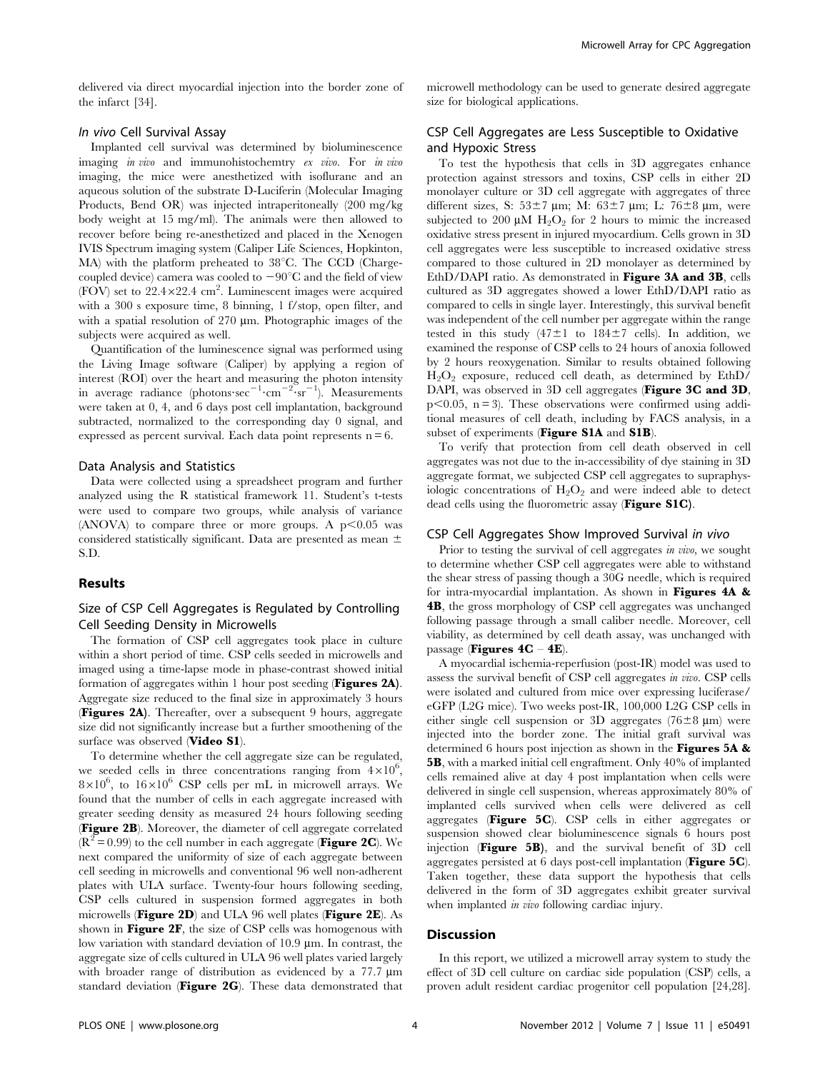delivered via direct myocardial injection into the border zone of the infarct [34].

### In vivo Cell Survival Assay

Implanted cell survival was determined by bioluminescence imaging in vivo and immunohistochemtry ex vivo. For in vivo imaging, the mice were anesthetized with isoflurane and an aqueous solution of the substrate D-Luciferin (Molecular Imaging Products, Bend OR) was injected intraperitoneally (200 mg/kg body weight at 15 mg/ml). The animals were then allowed to recover before being re-anesthetized and placed in the Xenogen IVIS Spectrum imaging system (Caliper Life Sciences, Hopkinton,  $MA$ ) with the platform preheated to  $38^{\circ}$ C. The CCD (Chargecoupled device) camera was cooled to  $-90^{\circ}$ C and the field of view (FOV) set to  $22.4 \times 22.4$  cm<sup>2</sup>. Luminescent images were acquired with a 300 s exposure time, 8 binning, 1 f/stop, open filter, and with a spatial resolution of  $270 \mu m$ . Photographic images of the subjects were acquired as well.

Quantification of the luminescence signal was performed using the Living Image software (Caliper) by applying a region of interest (ROI) over the heart and measuring the photon intensity in average radiance (photons  $\sec^{-1}$   $\cdots$   $\cdots$   $\sec^{-1}$ ). Measurements were taken at 0, 4, and 6 days post cell implantation, background subtracted, normalized to the corresponding day 0 signal, and expressed as percent survival. Each data point represents  $n = 6$ .

#### Data Analysis and Statistics

Data were collected using a spreadsheet program and further analyzed using the R statistical framework 11. Student's t-tests were used to compare two groups, while analysis of variance (ANOVA) to compare three or more groups. A  $p<0.05$  was considered statistically significant. Data are presented as mean  $\pm$ S.D.

## Results

### Size of CSP Cell Aggregates is Regulated by Controlling Cell Seeding Density in Microwells

The formation of CSP cell aggregates took place in culture within a short period of time. CSP cells seeded in microwells and imaged using a time-lapse mode in phase-contrast showed initial formation of aggregates within 1 hour post seeding (**Figures 2A**). Aggregate size reduced to the final size in approximately 3 hours **(Figures 2A).** Thereafter, over a subsequent 9 hours, aggregate size did not significantly increase but a further smoothening of the surface was observed (Video S1).

To determine whether the cell aggregate size can be regulated, we seeded cells in three concentrations ranging from  $4 \times 10^6$ ,  $8\times10^6$ , to  $16\times10^6$  CSP cells per mL in microwell arrays. We found that the number of cells in each aggregate increased with greater seeding density as measured 24 hours following seeding (Figure 2B). Moreover, the diameter of cell aggregate correlated  $(R^2 = 0.99)$  to the cell number in each aggregate (**Figure 2C**). We next compared the uniformity of size of each aggregate between cell seeding in microwells and conventional 96 well non-adherent plates with ULA surface. Twenty-four hours following seeding, CSP cells cultured in suspension formed aggregates in both microwells (Figure 2D) and ULA 96 well plates (Figure 2E). As shown in Figure 2F, the size of CSP cells was homogenous with low variation with standard deviation of  $10.9 \mu m$ . In contrast, the aggregate size of cells cultured in ULA 96 well plates varied largely with broader range of distribution as evidenced by a 77.7  $\mu$ m standard deviation (Figure 2G). These data demonstrated that

microwell methodology can be used to generate desired aggregate size for biological applications.

# CSP Cell Aggregates are Less Susceptible to Oxidative and Hypoxic Stress

To test the hypothesis that cells in 3D aggregates enhance protection against stressors and toxins, CSP cells in either 2D monolayer culture or 3D cell aggregate with aggregates of three different sizes, S:  $53\pm7$  µm; M:  $63\pm7$  µm; L:  $76\pm8$  µm, were subjected to 200  $\mu$ M H<sub>2</sub>O<sub>2</sub> for 2 hours to mimic the increased oxidative stress present in injured myocardium. Cells grown in 3D cell aggregates were less susceptible to increased oxidative stress compared to those cultured in 2D monolayer as determined by EthD/DAPI ratio. As demonstrated in Figure 3A and 3B, cells cultured as 3D aggregates showed a lower EthD/DAPI ratio as compared to cells in single layer. Interestingly, this survival benefit was independent of the cell number per aggregate within the range tested in this study  $(47\pm1)$  to  $184\pm7$  cells). In addition, we examined the response of CSP cells to 24 hours of anoxia followed by 2 hours reoxygenation. Similar to results obtained following  $H_2O_2$  exposure, reduced cell death, as determined by EthD/ DAPI, was observed in 3D cell aggregates (Figure 3C and 3D,  $p<0.05$ , n = 3). These observations were confirmed using additional measures of cell death, including by FACS analysis, in a subset of experiments (Figure S1A and S1B).

To verify that protection from cell death observed in cell aggregates was not due to the in-accessibility of dye staining in 3D aggregate format, we subjected CSP cell aggregates to supraphysiologic concentrations of  $H_2O_2$  and were indeed able to detect dead cells using the fluorometric assay (Figure S1C).

#### CSP Cell Aggregates Show Improved Survival in vivo

Prior to testing the survival of cell aggregates in vivo, we sought to determine whether CSP cell aggregates were able to withstand the shear stress of passing though a 30G needle, which is required for intra-myocardial implantation. As shown in Figures 4A & 4B, the gross morphology of CSP cell aggregates was unchanged following passage through a small caliber needle. Moreover, cell viability, as determined by cell death assay, was unchanged with passage (Figures  $4C - 4E$ ).

A myocardial ischemia-reperfusion (post-IR) model was used to assess the survival benefit of CSP cell aggregates in vivo. CSP cells were isolated and cultured from mice over expressing luciferase/ eGFP (L2G mice). Two weeks post-IR, 100,000 L2G CSP cells in either single cell suspension or 3D aggregates ( $76\pm8$  µm) were injected into the border zone. The initial graft survival was determined 6 hours post injection as shown in the **Figures 5A &** 5B, with a marked initial cell engraftment. Only 40% of implanted cells remained alive at day 4 post implantation when cells were delivered in single cell suspension, whereas approximately 80% of implanted cells survived when cells were delivered as cell aggregates (Figure 5C). CSP cells in either aggregates or suspension showed clear bioluminescence signals 6 hours post injection (Figure 5B), and the survival benefit of 3D cell aggregates persisted at 6 days post-cell implantation (Figure 5C). Taken together, these data support the hypothesis that cells delivered in the form of 3D aggregates exhibit greater survival when implanted *in vivo* following cardiac injury.

#### **Discussion**

In this report, we utilized a microwell array system to study the effect of 3D cell culture on cardiac side population (CSP) cells, a proven adult resident cardiac progenitor cell population [24,28].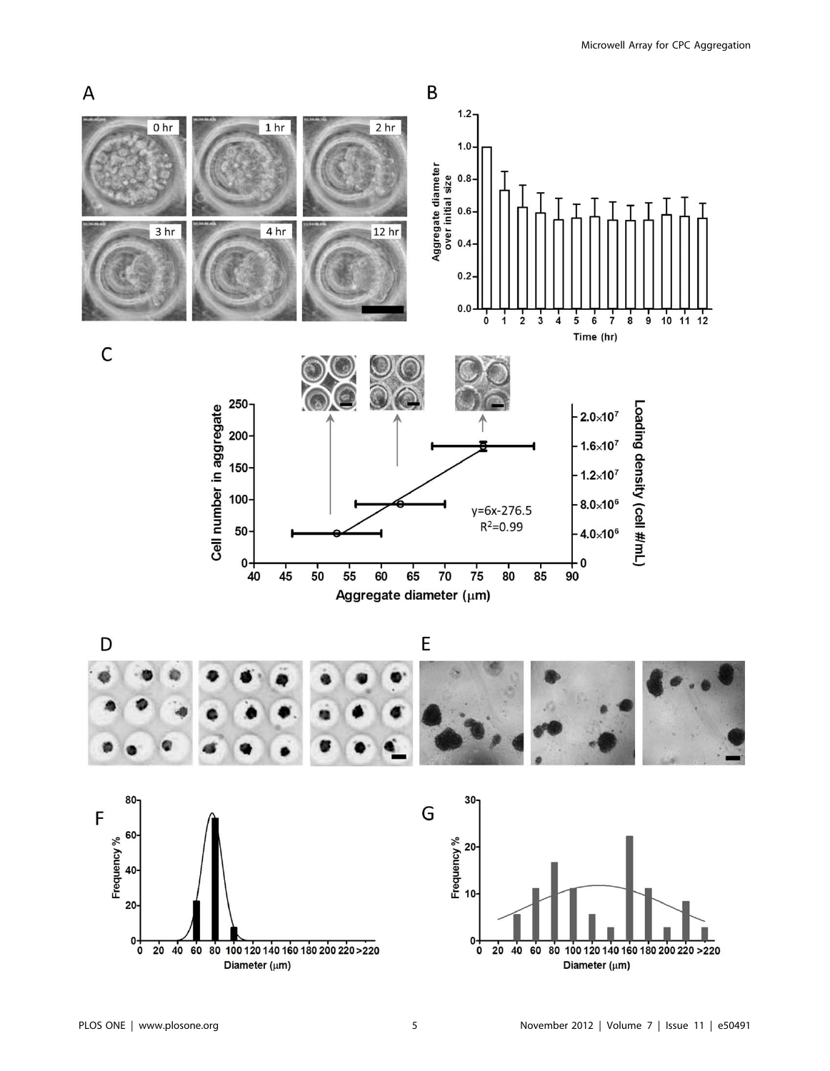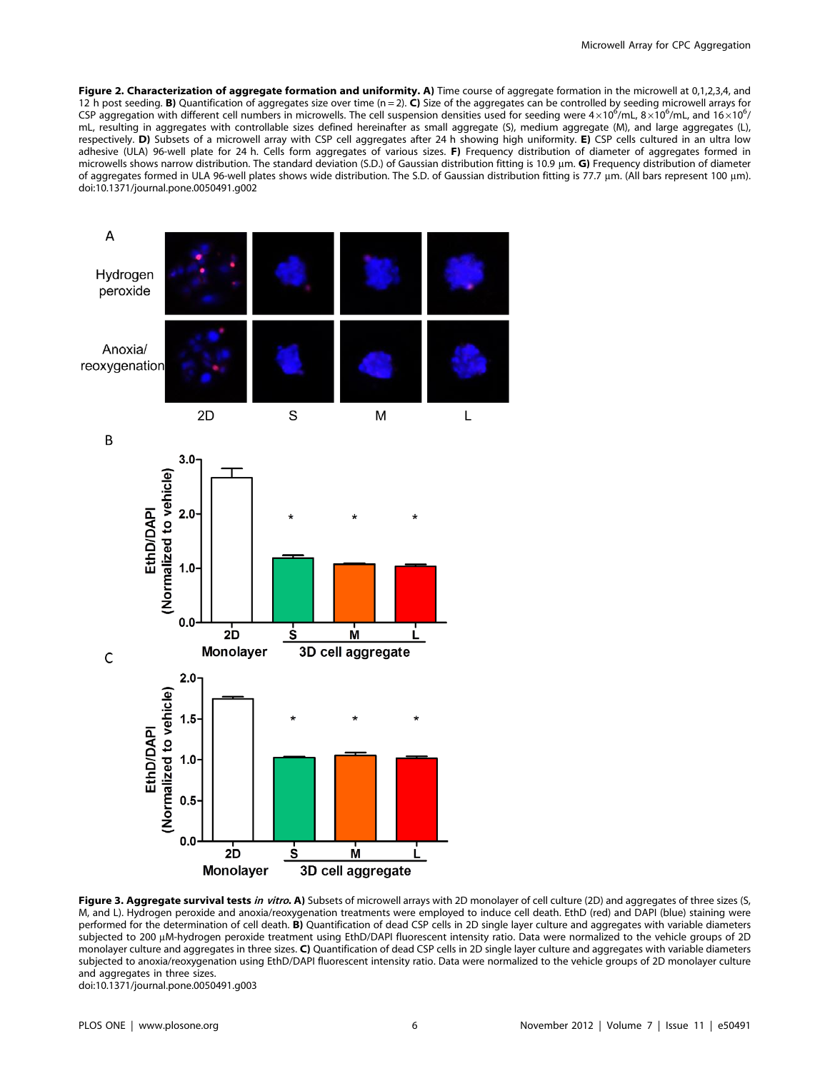Figure 2. Characterization of aggregate formation and uniformity. A) Time course of aggregate formation in the microwell at 0,1,2,3,4, and 12 h post seeding. B) Quantification of aggregates size over time  $(n = 2)$ . C) Size of the aggregates can be controlled by seeding microwell arrays for CSP aggregation with different cell numbers in microwells. The cell suspension densities used for seeding were 4×10<sup>6</sup>/mL, 8×10<sup>6</sup>/mL, and 16×10<sup>6</sup>/ mL, resulting in aggregates with controllable sizes defined hereinafter as small aggregate (S), medium aggregate (M), and large aggregates (L), respectively. D) Subsets of a microwell array with CSP cell aggregates after 24 h showing high uniformity. E) CSP cells cultured in an ultra low adhesive (ULA) 96-well plate for 24 h. Cells form aggregates of various sizes. F) Frequency distribution of diameter of aggregates formed in microwells shows narrow distribution. The standard deviation (S.D.) of Gaussian distribution fitting is 10.9  $\mu$ m. **G**) Frequency distribution of diameter of aggregates formed in ULA 96-well plates shows wide distribution. The S.D. of Gaussian distribution fitting is 77.7 mm. (All bars represent 100 mm). doi:10.1371/journal.pone.0050491.g002



Figure 3. Aggregate survival tests in vitro. A) Subsets of microwell arrays with 2D monolayer of cell culture (2D) and aggregates of three sizes (S, M, and L). Hydrogen peroxide and anoxia/reoxygenation treatments were employed to induce cell death. EthD (red) and DAPI (blue) staining were performed for the determination of cell death. B) Quantification of dead CSP cells in 2D single layer culture and aggregates with variable diameters subjected to 200 µM-hydrogen peroxide treatment using EthD/DAPI fluorescent intensity ratio. Data were normalized to the vehicle groups of 2D monolayer culture and aggregates in three sizes. C) Quantification of dead CSP cells in 2D single layer culture and aggregates with variable diameters subjected to anoxia/reoxygenation using EthD/DAPI fluorescent intensity ratio. Data were normalized to the vehicle groups of 2D monolayer culture and aggregates in three sizes. doi:10.1371/journal.pone.0050491.g003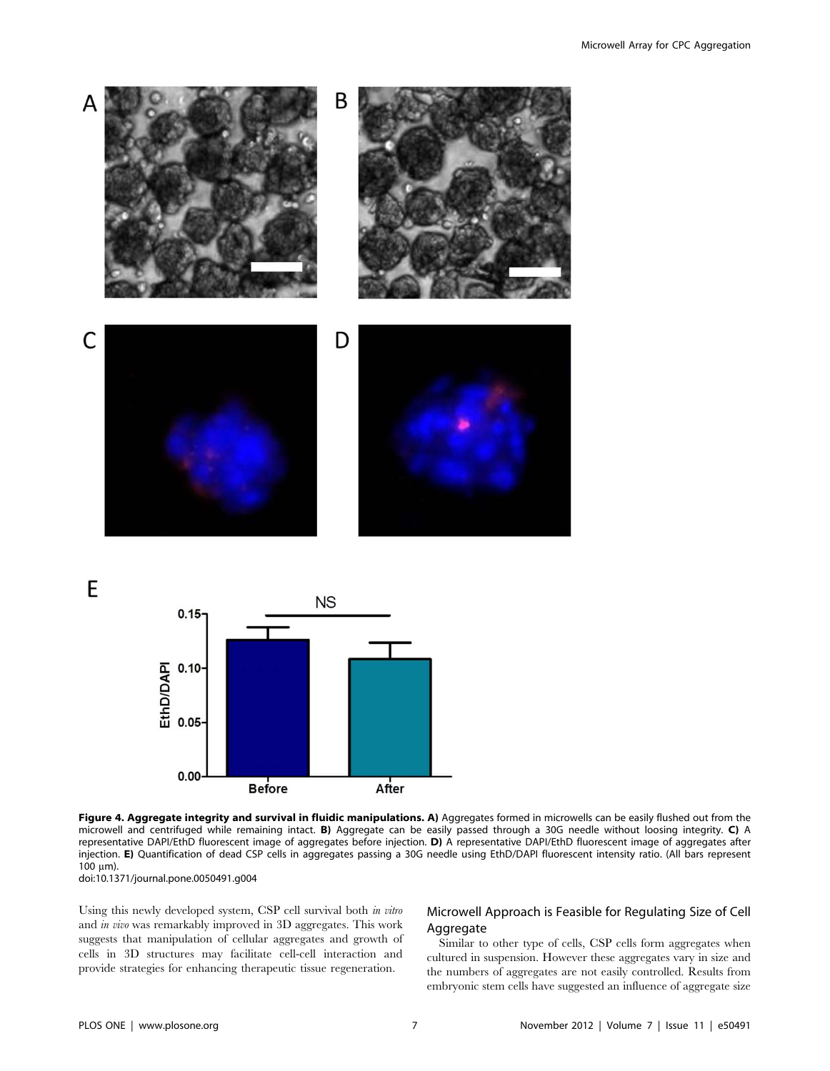

E



Figure 4. Aggregate integrity and survival in fluidic manipulations. A) Aggregates formed in microwells can be easily flushed out from the microwell and centrifuged while remaining intact. B) Aggregate can be easily passed through a 30G needle without loosing integrity. C) A representative DAPI/EthD fluorescent image of aggregates before injection. D) A representative DAPI/EthD fluorescent image of aggregates after injection. E) Quantification of dead CSP cells in aggregates passing a 30G needle using EthD/DAPI fluorescent intensity ratio. (All bars represent  $100 \mu m$ ).

doi:10.1371/journal.pone.0050491.g004

Using this newly developed system, CSP cell survival both in vitro and in vivo was remarkably improved in 3D aggregates. This work suggests that manipulation of cellular aggregates and growth of cells in 3D structures may facilitate cell-cell interaction and provide strategies for enhancing therapeutic tissue regeneration.

# Microwell Approach is Feasible for Regulating Size of Cell Aggregate

Similar to other type of cells, CSP cells form aggregates when cultured in suspension. However these aggregates vary in size and the numbers of aggregates are not easily controlled. Results from embryonic stem cells have suggested an influence of aggregate size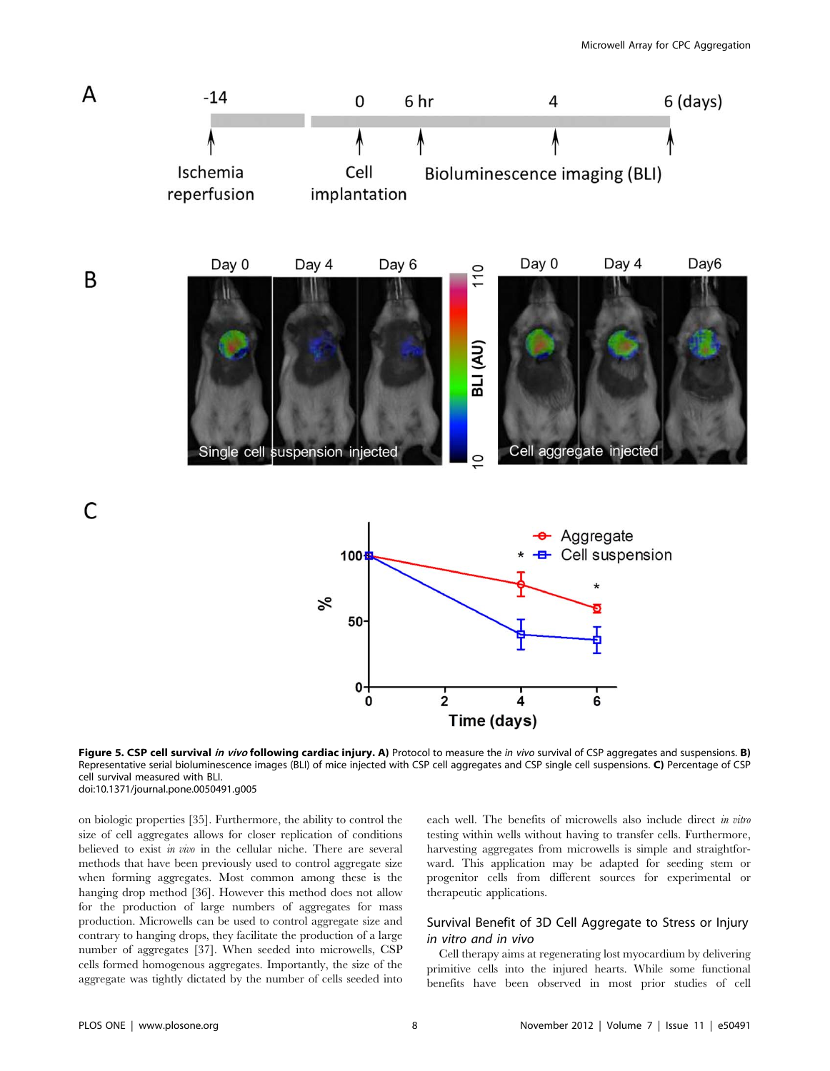

Figure 5. CSP cell survival in vivo following cardiac injury. A) Protocol to measure the in vivo survival of CSP aggregates and suspensions. B) Representative serial bioluminescence images (BLI) of mice injected with CSP cell aggregates and CSP single cell suspensions. C) Percentage of CSP cell survival measured with BLI. doi:10.1371/journal.pone.0050491.g005

on biologic properties [35]. Furthermore, the ability to control the size of cell aggregates allows for closer replication of conditions believed to exist in vivo in the cellular niche. There are several methods that have been previously used to control aggregate size when forming aggregates. Most common among these is the hanging drop method [36]. However this method does not allow for the production of large numbers of aggregates for mass production. Microwells can be used to control aggregate size and contrary to hanging drops, they facilitate the production of a large number of aggregates [37]. When seeded into microwells, CSP cells formed homogenous aggregates. Importantly, the size of the aggregate was tightly dictated by the number of cells seeded into each well. The benefits of microwells also include direct in vitro testing within wells without having to transfer cells. Furthermore, harvesting aggregates from microwells is simple and straightforward. This application may be adapted for seeding stem or progenitor cells from different sources for experimental or therapeutic applications.

# Survival Benefit of 3D Cell Aggregate to Stress or Injury in vitro and in vivo

Cell therapy aims at regenerating lost myocardium by delivering primitive cells into the injured hearts. While some functional benefits have been observed in most prior studies of cell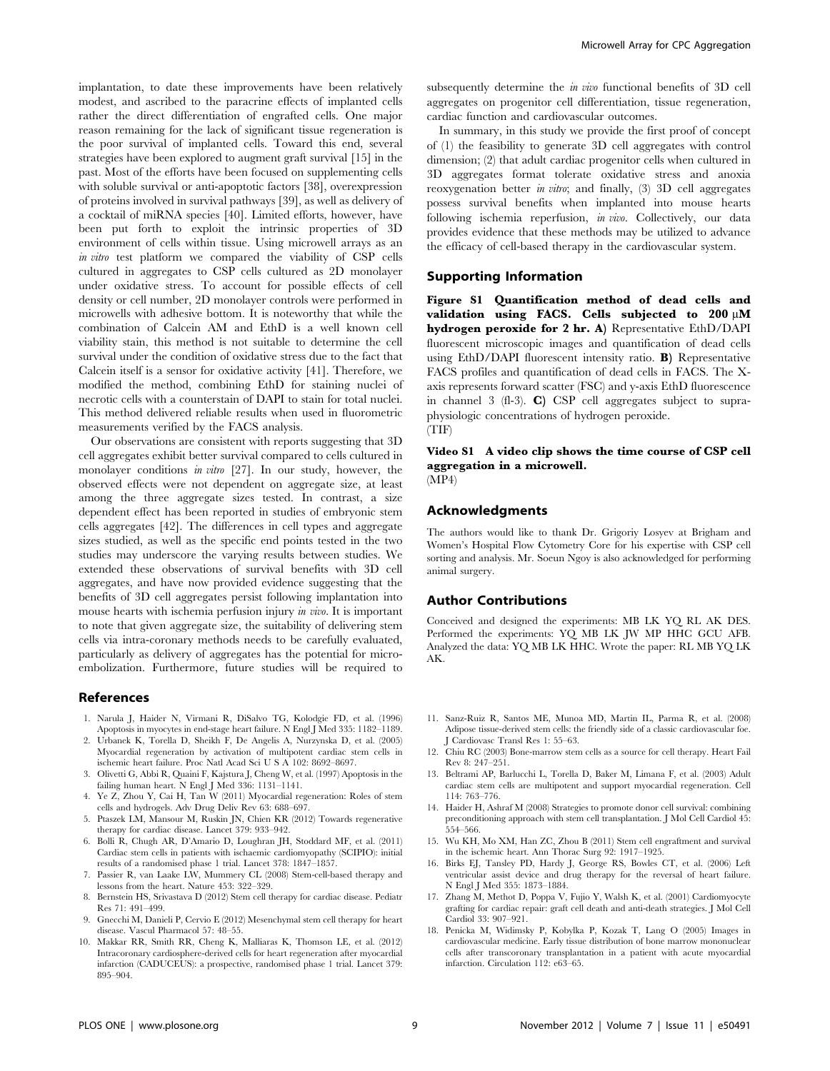implantation, to date these improvements have been relatively modest, and ascribed to the paracrine effects of implanted cells rather the direct differentiation of engrafted cells. One major reason remaining for the lack of significant tissue regeneration is the poor survival of implanted cells. Toward this end, several strategies have been explored to augment graft survival [15] in the past. Most of the efforts have been focused on supplementing cells with soluble survival or anti-apoptotic factors [38], overexpression of proteins involved in survival pathways [39], as well as delivery of a cocktail of miRNA species [40]. Limited efforts, however, have been put forth to exploit the intrinsic properties of 3D environment of cells within tissue. Using microwell arrays as an in vitro test platform we compared the viability of CSP cells cultured in aggregates to CSP cells cultured as 2D monolayer under oxidative stress. To account for possible effects of cell density or cell number, 2D monolayer controls were performed in microwells with adhesive bottom. It is noteworthy that while the combination of Calcein AM and EthD is a well known cell viability stain, this method is not suitable to determine the cell survival under the condition of oxidative stress due to the fact that Calcein itself is a sensor for oxidative activity [41]. Therefore, we modified the method, combining EthD for staining nuclei of necrotic cells with a counterstain of DAPI to stain for total nuclei. This method delivered reliable results when used in fluorometric measurements verified by the FACS analysis.

Our observations are consistent with reports suggesting that 3D cell aggregates exhibit better survival compared to cells cultured in monolayer conditions in vitro [27]. In our study, however, the observed effects were not dependent on aggregate size, at least among the three aggregate sizes tested. In contrast, a size dependent effect has been reported in studies of embryonic stem cells aggregates [42]. The differences in cell types and aggregate sizes studied, as well as the specific end points tested in the two studies may underscore the varying results between studies. We extended these observations of survival benefits with 3D cell aggregates, and have now provided evidence suggesting that the benefits of 3D cell aggregates persist following implantation into mouse hearts with ischemia perfusion injury in vivo. It is important to note that given aggregate size, the suitability of delivering stem cells via intra-coronary methods needs to be carefully evaluated, particularly as delivery of aggregates has the potential for microembolization. Furthermore, future studies will be required to

#### References

- 1. Narula J, Haider N, Virmani R, DiSalvo TG, Kolodgie FD, et al. (1996) Apoptosis in myocytes in end-stage heart failure. N Engl J Med 335: 1182–1189.
- 2. Urbanek K, Torella D, Sheikh F, De Angelis A, Nurzynska D, et al. (2005) Myocardial regeneration by activation of multipotent cardiac stem cells in ischemic heart failure. Proc Natl Acad Sci U S A 102: 8692–8697.
- 3. Olivetti G, Abbi R, Quaini F, Kajstura J, Cheng W, et al. (1997) Apoptosis in the failing human heart. N Engl J Med 336: 1131–1141.
- 4. Ye Z, Zhou Y, Cai H, Tan W (2011) Myocardial regeneration: Roles of stem cells and hydrogels. Adv Drug Deliv Rev 63: 688–697.
- 5. Ptaszek LM, Mansour M, Ruskin JN, Chien KR (2012) Towards regenerative therapy for cardiac disease. Lancet 379: 933–942.
- 6. Bolli R, Chugh AR, D'Amario D, Loughran JH, Stoddard MF, et al. (2011) Cardiac stem cells in patients with ischaemic cardiomyopathy (SCIPIO): initial results of a randomised phase 1 trial. Lancet 378: 1847–1857.
- 7. Passier R, van Laake LW, Mummery CL (2008) Stem-cell-based therapy and lessons from the heart. Nature 453: 322–329.
- 8. Bernstein HS, Srivastava D (2012) Stem cell therapy for cardiac disease. Pediatr Res 71: 491–499.
- 9. Gnecchi M, Danieli P, Cervio E (2012) Mesenchymal stem cell therapy for heart disease. Vascul Pharmacol 57: 48–55.
- 10. Makkar RR, Smith RR, Cheng K, Malliaras K, Thomson LE, et al. (2012) Intracoronary cardiosphere-derived cells for heart regeneration after myocardial infarction (CADUCEUS): a prospective, randomised phase 1 trial. Lancet 379: 895–904.

subsequently determine the in vivo functional benefits of 3D cell aggregates on progenitor cell differentiation, tissue regeneration, cardiac function and cardiovascular outcomes.

In summary, in this study we provide the first proof of concept of (1) the feasibility to generate 3D cell aggregates with control dimension; (2) that adult cardiac progenitor cells when cultured in 3D aggregates format tolerate oxidative stress and anoxia reoxygenation better *in vitro*; and finally,  $(3)$  3D cell aggregates possess survival benefits when implanted into mouse hearts following ischemia reperfusion, in vivo. Collectively, our data provides evidence that these methods may be utilized to advance the efficacy of cell-based therapy in the cardiovascular system.

#### Supporting Information

Figure S1 Quantification method of dead cells and validation using FACS. Cells subiected to 200 uM hydrogen peroxide for 2 hr. A) Representative EthD/DAPI fluorescent microscopic images and quantification of dead cells using EthD/DAPI fluorescent intensity ratio. B) Representative FACS profiles and quantification of dead cells in FACS. The Xaxis represents forward scatter (FSC) and y-axis EthD fluorescence in channel 3 (fl-3). C) CSP cell aggregates subject to supraphysiologic concentrations of hydrogen peroxide. (TIF)

Video S1 A video clip shows the time course of CSP cell aggregation in a microwell.

# (MP4)

### Acknowledgments

The authors would like to thank Dr. Grigoriy Losyev at Brigham and Women's Hospital Flow Cytometry Core for his expertise with CSP cell sorting and analysis. Mr. Soeun Ngoy is also acknowledged for performing animal surgery.

### Author Contributions

Conceived and designed the experiments: MB LK YQ RL AK DES. Performed the experiments: YQ MB LK JW MP HHC GCU AFB. Analyzed the data: YQ MB LK HHC. Wrote the paper: RL MB YQ LK AK.

- 11. Sanz-Ruiz R, Santos ME, Munoa MD, Martin IL, Parma R, et al. (2008) Adipose tissue-derived stem cells: the friendly side of a classic cardiovascular foe. J Cardiovasc Transl Res 1: 55–63.
- 12. Chiu RC (2003) Bone-marrow stem cells as a source for cell therapy. Heart Fail Rev 8: 247–251.
- 13. Beltrami AP, Barlucchi L, Torella D, Baker M, Limana F, et al. (2003) Adult cardiac stem cells are multipotent and support myocardial regeneration. Cell 114: 763–776.
- 14. Haider H, Ashraf M (2008) Strategies to promote donor cell survival: combining preconditioning approach with stem cell transplantation. J Mol Cell Cardiol 45: 554–566.
- 15. Wu KH, Mo XM, Han ZC, Zhou B (2011) Stem cell engraftment and survival in the ischemic heart. Ann Thorac Surg 92: 1917–1925.
- 16. Birks EJ, Tansley PD, Hardy J, George RS, Bowles CT, et al. (2006) Left ventricular assist device and drug therapy for the reversal of heart failure. N Engl J Med 355: 1873–1884.
- 17. Zhang M, Methot D, Poppa V, Fujio Y, Walsh K, et al. (2001) Cardiomyocyte grafting for cardiac repair: graft cell death and anti-death strategies. J Mol Cell Cardiol 33: 907–921.
- 18. Penicka M, Widimsky P, Kobylka P, Kozak T, Lang O (2005) Images in cardiovascular medicine. Early tissue distribution of bone marrow mononuclear cells after transcoronary transplantation in a patient with acute myocardial infarction. Circulation 112: e63–65.